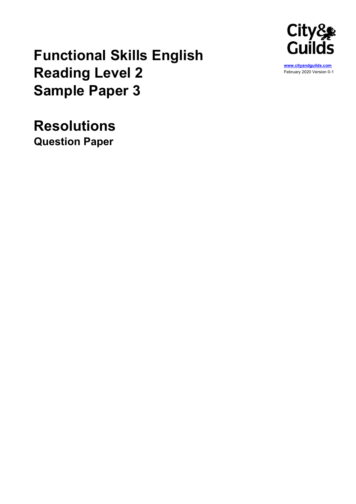

# Functional Skills English Reading Level 2 Sample Paper 3

Resolutions Question Paper

www.cityandguilds.com February 2020 Version 0-1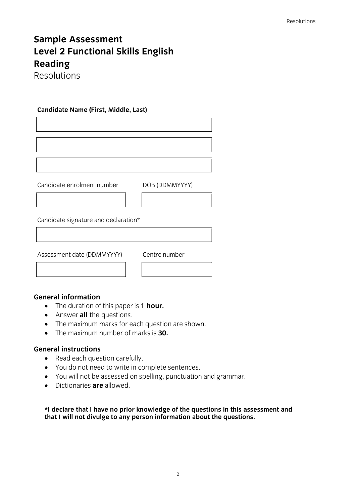## Sample Assessment Level 2 Functional Skills English Reading

Resolutions

#### Candidate Name (First, Middle, Last)

Candidate enrolment number DOB (DDMMYYYY)

Candidate signature and declaration\*

Assessment date (DDMMYYYY) Centre number

#### General information

- The duration of this paper is 1 hour.
- Answer all the questions.
- The maximum marks for each question are shown.
- $\bullet$  The maximum number of marks is  $30$ .

#### General instructions

- Read each question carefully.
- You do not need to write in complete sentences.
- You will not be assessed on spelling, punctuation and grammar.
- Dictionaries **are** allowed

\*I declare that I have no prior knowledge of the questions in this assessment and that I will not divulge to any person information about the questions.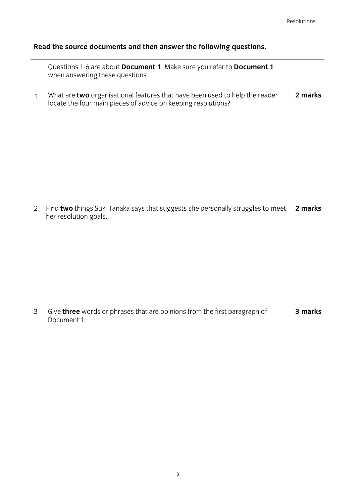#### Read the source documents and then answer the following questions.

Questions 1-6 are about Document 1. Make sure you refer to Document 1 when answering these questions.

1 What are two organisational features that have been used to help the reader locate the four main pieces of advice on keeping resolutions? 2 marks

2 Find two things Suki Tanaka says that suggests she personally struggles to meet 2 marks her resolution goals.

3 Give three words or phrases that are opinions from the first paragraph of Document 1. 3 marks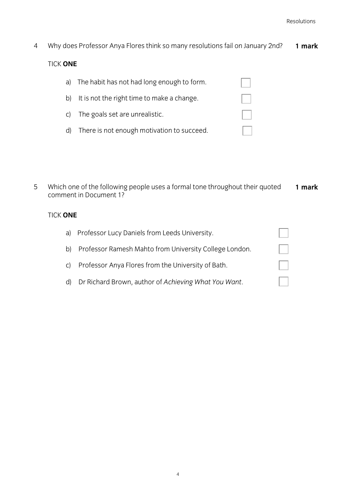- 4 Why does Professor Anya Flores think so many resolutions fail on January 2nd? TICK ONE a) The habit has not had long enough to form. b) It is not the right time to make a change. 1 mark
	- d) There is not enough motivation to succeed.

c) The goals set are unrealistic.

5 Which one of the following people uses a formal tone throughout their quoted comment in Document 1? 1 mark

### TICK ONE

| a) | Professor Lucy Daniels from Leeds University.          |              |
|----|--------------------------------------------------------|--------------|
| b) | Professor Ramesh Mahto from University College London. | $\mathbf{L}$ |
| C) | Professor Anya Flores from the University of Bath.     | $\mathbb{R}$ |
| d) | Dr Richard Brown, author of Achieving What You Want.   |              |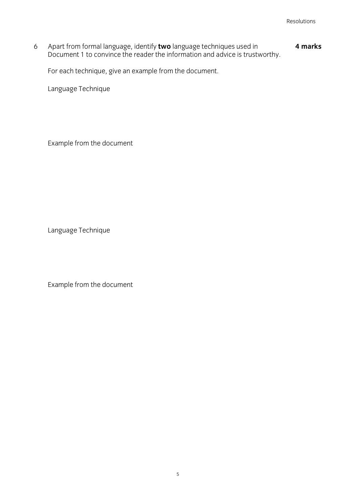6 Apart from formal language, identify two language techniques used in Document 1 to convince the reader the information and advice is trustworthy. 4 marks

For each technique, give an example from the document.

Language Technique

Example from the document

Language Technique

Example from the document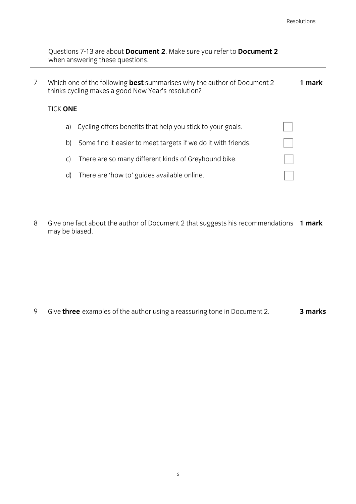|   |                 | Questions 7-13 are about Document 2. Make sure you refer to Document 2<br>when answering these questions.                            |        |
|---|-----------------|--------------------------------------------------------------------------------------------------------------------------------------|--------|
| 7 |                 | Which one of the following <b>best</b> summarises why the author of Document 2<br>thinks cycling makes a good New Year's resolution? | 1 mark |
|   | TICK <b>ONE</b> |                                                                                                                                      |        |
|   | a)              | Cycling offers benefits that help you stick to your goals.                                                                           |        |
|   | $\mathsf{b}$    | Some find it easier to meet targets if we do it with friends.                                                                        |        |
|   | C)              | There are so many different kinds of Greyhound bike.                                                                                 |        |
|   | d)              | There are 'how to' guides available online.                                                                                          |        |
|   |                 |                                                                                                                                      |        |

8 Give one fact about the author of Document 2 that suggests his recommendations 1 mark may be biased.

9 Give three examples of the author using a reassuring tone in Document 2. 3 marks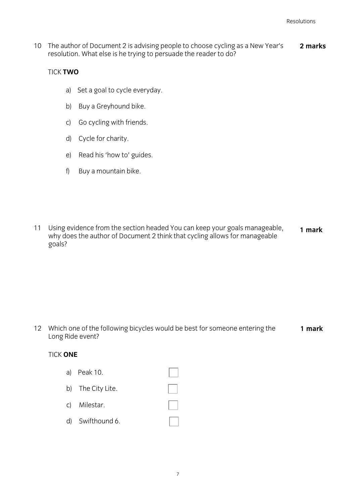10 The author of Document 2 is advising people to choose cycling as a New Year's resolution. What else is he trying to persuade the reader to do? 2 marks

#### TICK TWO

- a) Set a goal to cycle everyday.
- b) Buy a Greyhound bike.
- c) Go cycling with friends.
- d) Cycle for charity.
- e) Read his 'how to' guides.
- f) Buy a mountain bike.
- 11 Using evidence from the section headed You can keep your goals manageable, why does the author of Document 2 think that cycling allows for manageable goals? 1 mark

12 Which one of the following bicycles would be best for someone entering the Long Ride event? 1 mark

#### TICK ONE

a) Peak 10. b) The City Lite. c) Milestar. d) Swifthound 6.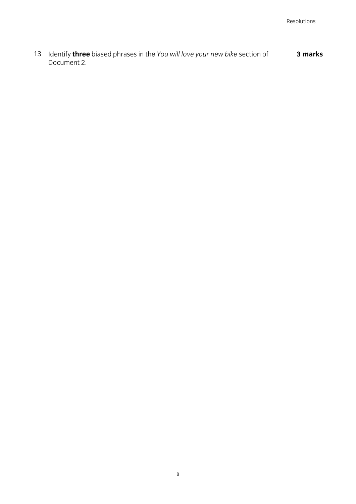13 Identify three biased phrases in the You will love your new bike section of Document 2. 3 marks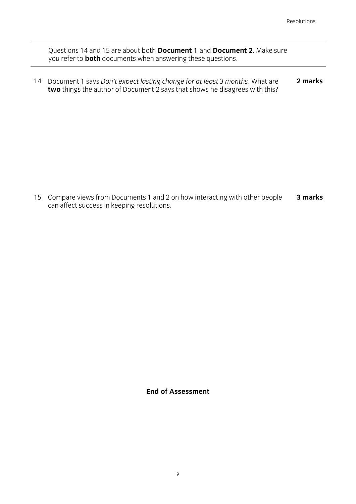Questions 14 and 15 are about both Document 1 and Document 2. Make sure you refer to **both** documents when answering these questions.

14 Document 1 says Don't expect lasting change for at least 3 months. What are two things the author of Document 2 says that shows he disagrees with this? 2 marks

15 Compare views from Documents 1 and 2 on how interacting with other people can affect success in keeping resolutions. 3 marks

End of Assessment